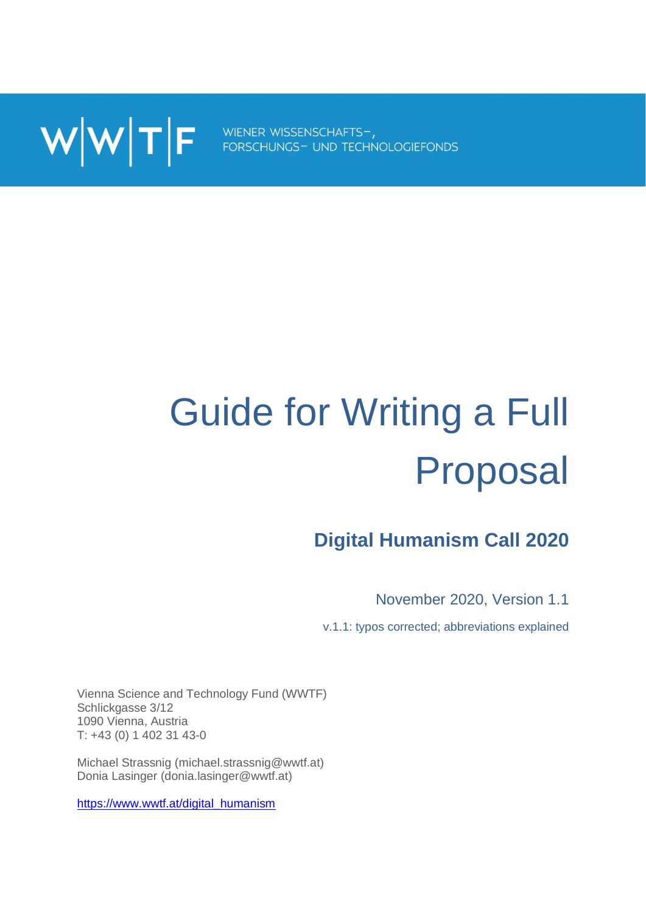

# Guide for Writing a Full Proposal

# **Digital Humanism Call 2020**

November 2020, Version 1.1

v.1.1: typos corrected; abbreviations explained

Vienna Science and Technology Fund (WWTF) Schlickgasse 3/12 1090 Vienna, Austria T: +43 (0) 1 402 31 43-0

Michael Strassnig (michael.strassnig@wwtf.at) Donia Lasinger (donia.lasinger@wwtf.at)

[https://www.wwtf.at/digital\\_humanism](https://www.wwtf.at/digital_humanism)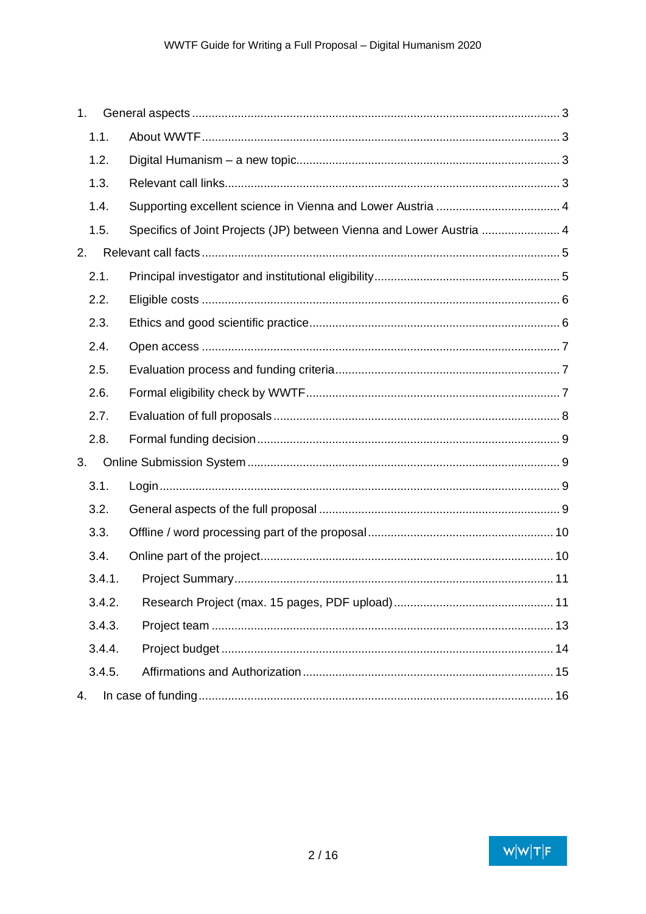| 1.     |                                                                      |  |
|--------|----------------------------------------------------------------------|--|
| 1.1.   |                                                                      |  |
| 1.2.   |                                                                      |  |
| 1.3.   |                                                                      |  |
| 1.4.   |                                                                      |  |
| 1.5.   | Specifics of Joint Projects (JP) between Vienna and Lower Austria  4 |  |
| 2.     |                                                                      |  |
| 2.1.   |                                                                      |  |
| 2.2.   |                                                                      |  |
| 2.3.   |                                                                      |  |
| 2.4.   |                                                                      |  |
| 2.5.   |                                                                      |  |
| 2.6.   |                                                                      |  |
| 2.7.   |                                                                      |  |
| 2.8.   |                                                                      |  |
| 3.     |                                                                      |  |
| 3.1.   |                                                                      |  |
| 3.2.   |                                                                      |  |
| 3.3.   |                                                                      |  |
| 3.4.   |                                                                      |  |
| 3.4.1. |                                                                      |  |
| 3.4.2. |                                                                      |  |
| 3.4.3. |                                                                      |  |
| 3.4.4. |                                                                      |  |
| 3.4.5. |                                                                      |  |
| 4.     |                                                                      |  |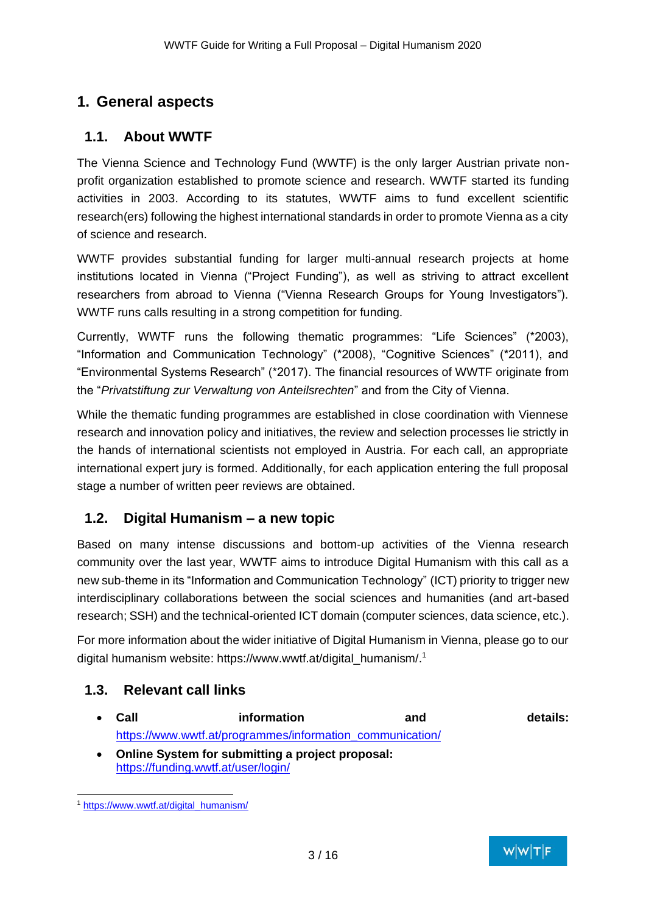# <span id="page-2-0"></span>**1. General aspects**

#### <span id="page-2-1"></span>**1.1. About WWTF**

The Vienna Science and Technology Fund (WWTF) is the only larger Austrian private nonprofit organization established to promote science and research. WWTF started its funding activities in 2003. According to its statutes, WWTF aims to fund excellent scientific research(ers) following the highest international standards in order to promote Vienna as a city of science and research.

WWTF provides substantial funding for larger multi-annual research projects at home institutions located in Vienna ("Project Funding"), as well as striving to attract excellent researchers from abroad to Vienna ("Vienna Research Groups for Young Investigators"). WWTF runs calls resulting in a strong competition for funding.

Currently, WWTF runs the following thematic programmes: "Life Sciences" (\*2003), "Information and Communication Technology" (\*2008), "Cognitive Sciences" (\*2011), and "Environmental Systems Research" (\*2017). The financial resources of WWTF originate from the "*Privatstiftung zur Verwaltung von Anteilsrechten*" and from the City of Vienna.

While the thematic funding programmes are established in close coordination with Viennese research and innovation policy and initiatives, the review and selection processes lie strictly in the hands of international scientists not employed in Austria. For each call, an appropriate international expert jury is formed. Additionally, for each application entering the full proposal stage a number of written peer reviews are obtained.

#### <span id="page-2-2"></span>**1.2. Digital Humanism – a new topic**

Based on many intense discussions and bottom-up activities of the Vienna research community over the last year, WWTF aims to introduce Digital Humanism with this call as a new sub-theme in its "Information and Communication Technology" (ICT) priority to trigger new interdisciplinary collaborations between the social sciences and humanities (and art-based research; SSH) and the technical-oriented ICT domain (computer sciences, data science, etc.).

For more information about the wider initiative of Digital Humanism in Vienna, please go to our digital humanism website: https://www.wwtf.at/digital\_humanism/. 1

#### <span id="page-2-3"></span>**1.3. Relevant call links**

• **Call information and details:** [https://www.wwtf.at/programmes/information\\_communication/](https://www.wwtf.at/programmes/information_communication/)

• **Online System for submitting a project proposal:**  <https://funding.wwtf.at/user/login/>



<sup>1</sup> [https://www.wwtf.at/digital\\_humanism/](https://www.wwtf.at/digital_humanism/)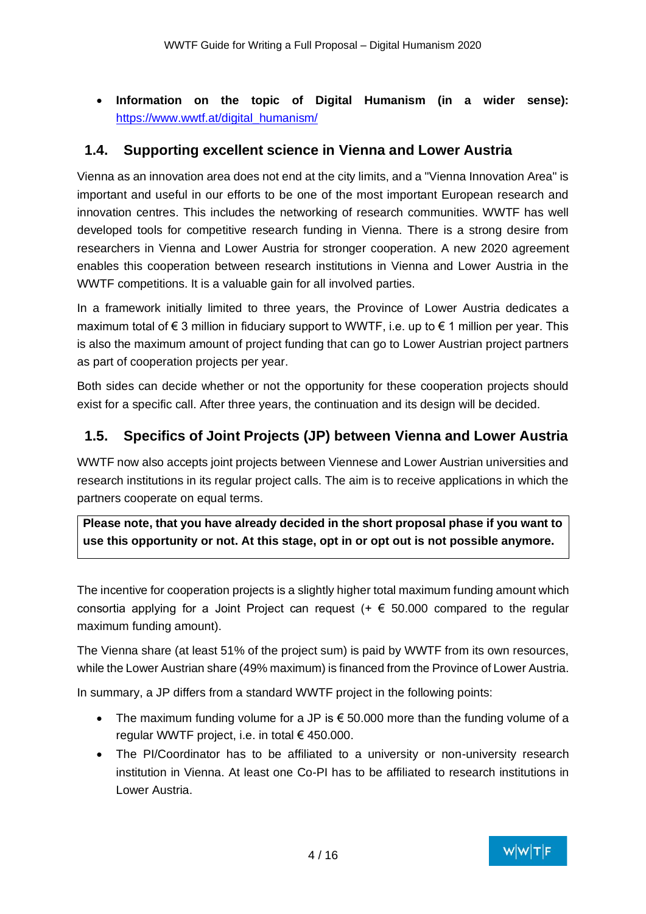• **Information on the topic of Digital Humanism (in a wider sense):** [https://www.wwtf.at/digital\\_humanism/](https://www.wwtf.at/digital_humanism/)

#### <span id="page-3-0"></span>**1.4. Supporting excellent science in Vienna and Lower Austria**

Vienna as an innovation area does not end at the city limits, and a "Vienna Innovation Area" is important and useful in our efforts to be one of the most important European research and innovation centres. This includes the networking of research communities. WWTF has well developed tools for competitive research funding in Vienna. There is a strong desire from researchers in Vienna and Lower Austria for stronger cooperation. A new 2020 agreement enables this cooperation between research institutions in Vienna and Lower Austria in the WWTF competitions. It is a valuable gain for all involved parties.

In a framework initially limited to three years, the Province of Lower Austria dedicates a maximum total of  $\epsilon$  3 million in fiduciary support to WWTF, i.e. up to  $\epsilon$  1 million per year. This is also the maximum amount of project funding that can go to Lower Austrian project partners as part of cooperation projects per year.

Both sides can decide whether or not the opportunity for these cooperation projects should exist for a specific call. After three years, the continuation and its design will be decided.

#### <span id="page-3-1"></span>**1.5. Specifics of Joint Projects (JP) between Vienna and Lower Austria**

WWTF now also accepts joint projects between Viennese and Lower Austrian universities and research institutions in its regular project calls. The aim is to receive applications in which the partners cooperate on equal terms.

**Please note, that you have already decided in the short proposal phase if you want to use this opportunity or not. At this stage, opt in or opt out is not possible anymore.** 

The incentive for cooperation projects is a slightly higher total maximum funding amount which consortia applying for a Joint Project can request  $(+) \in 50.000$  compared to the regular maximum funding amount).

The Vienna share (at least 51% of the project sum) is paid by WWTF from its own resources, while the Lower Austrian share (49% maximum) is financed from the Province of Lower Austria.

In summary, a JP differs from a standard WWTF project in the following points:

- The maximum funding volume for a JP is  $\epsilon$  50.000 more than the funding volume of a regular WWTF project, i.e. in total  $\epsilon$  450.000.
- The PI/Coordinator has to be affiliated to a university or non-university research institution in Vienna. At least one Co-PI has to be affiliated to research institutions in Lower Austria.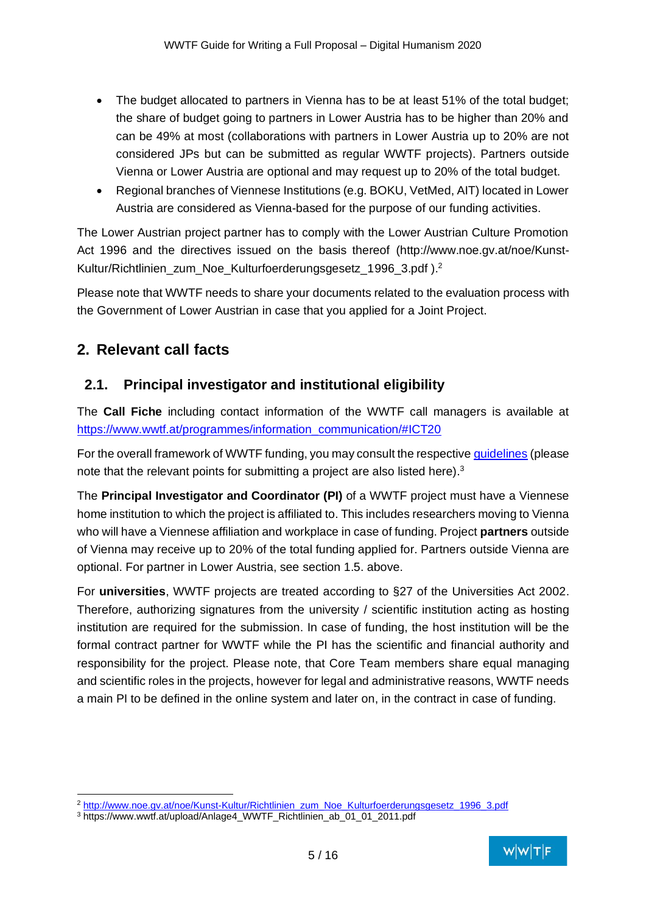- The budget allocated to partners in Vienna has to be at least 51% of the total budget: the share of budget going to partners in Lower Austria has to be higher than 20% and can be 49% at most (collaborations with partners in Lower Austria up to 20% are not considered JPs but can be submitted as regular WWTF projects). Partners outside Vienna or Lower Austria are optional and may request up to 20% of the total budget.
- Regional branches of Viennese Institutions (e.g. BOKU, VetMed, AIT) located in Lower Austria are considered as Vienna-based for the purpose of our funding activities.

The Lower Austrian project partner has to comply with the Lower Austrian Culture Promotion Act 1996 and the directives issued on the basis thereof (http://www.noe.gv.at/noe/Kunst-Kultur/Richtlinien\_zum\_Noe\_Kulturfoerderungsgesetz\_1996\_3.pdf).<sup>2</sup>

Please note that WWTF needs to share your documents related to the evaluation process with the Government of Lower Austrian in case that you applied for a Joint Project.

# <span id="page-4-0"></span>**2. Relevant call facts**

# <span id="page-4-1"></span>**2.1. Principal investigator and institutional eligibility**

The **Call Fiche** including contact information of the WWTF call managers is available at [https://www.wwtf.at/programmes/information\\_communication/#ICT20](https://www.wwtf.at/programmes/information_communication/#ICT20)

For the overall framework of WWTF funding, you may consult the respectiv[e guidelines](https://www.wwtf.at/upload/Anlage4_WWTF_Richtlinien_ab_01_01_2011.pdf) (please note that the relevant points for submitting a project are also listed here).<sup>3</sup>

The **Principal Investigator and Coordinator (PI)** of a WWTF project must have a Viennese home institution to which the project is affiliated to. This includes researchers moving to Vienna who will have a Viennese affiliation and workplace in case of funding. Project **partners** outside of Vienna may receive up to 20% of the total funding applied for. Partners outside Vienna are optional. For partner in Lower Austria, see section 1.5. above.

For **universities**, WWTF projects are treated according to §27 of the Universities Act 2002. Therefore, authorizing signatures from the university / scientific institution acting as hosting institution are required for the submission. In case of funding, the host institution will be the formal contract partner for WWTF while the PI has the scientific and financial authority and responsibility for the project. Please note, that Core Team members share equal managing and scientific roles in the projects, however for legal and administrative reasons, WWTF needs a main PI to be defined in the online system and later on, in the contract in case of funding.

<sup>&</sup>lt;sup>2</sup> [http://www.noe.gv.at/noe/Kunst-Kultur/Richtlinien\\_zum\\_Noe\\_Kulturfoerderungsgesetz\\_1996\\_3.pdf](http://www.noe.gv.at/noe/Kunst-Kultur/Richtlinien_zum_Noe_Kulturfoerderungsgesetz_1996_3.pdf)

<sup>3</sup> https://www.wwtf.at/upload/Anlage4\_WWTF\_Richtlinien\_ab\_01\_01\_2011.pdf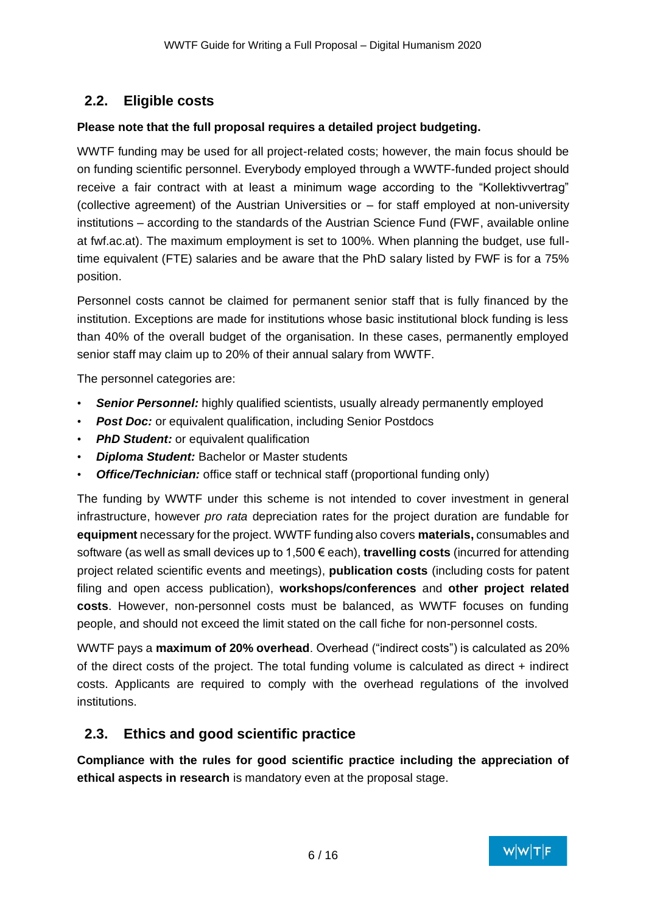# <span id="page-5-0"></span>**2.2. Eligible costs**

#### **Please note that the full proposal requires a detailed project budgeting.**

WWTF funding may be used for all project-related costs; however, the main focus should be on funding scientific personnel. Everybody employed through a WWTF-funded project should receive a fair contract with at least a minimum wage according to the "Kollektivvertrag" (collective agreement) of the Austrian Universities or – for staff employed at non-university institutions – according to the standards of the Austrian Science Fund (FWF, available online at fwf.ac.at). The maximum employment is set to 100%. When planning the budget, use fulltime equivalent (FTE) salaries and be aware that the PhD salary listed by FWF is for a 75% position.

Personnel costs cannot be claimed for permanent senior staff that is fully financed by the institution. Exceptions are made for institutions whose basic institutional block funding is less than 40% of the overall budget of the organisation. In these cases, permanently employed senior staff may claim up to 20% of their annual salary from WWTF.

The personnel categories are:

- **Senior Personnel:** highly qualified scientists, usually already permanently employed
- *Post Doc:* or equivalent qualification, including Senior Postdocs
- *PhD Student:* or equivalent qualification
- *Diploma Student:* Bachelor or Master students
- **Office/Technician:** office staff or technical staff (proportional funding only)

The funding by WWTF under this scheme is not intended to cover investment in general infrastructure, however *pro rata* depreciation rates for the project duration are fundable for **equipment** necessary for the project. WWTF funding also covers **materials,** consumables and software (as well as small devices up to 1,500 € each), **travelling costs** (incurred for attending project related scientific events and meetings), **publication costs** (including costs for patent filing and open access publication), **workshops/conferences** and **other project related costs**. However, non-personnel costs must be balanced, as WWTF focuses on funding people, and should not exceed the limit stated on the call fiche for non-personnel costs.

WWTF pays a **maximum of 20% overhead**. Overhead ("indirect costs") is calculated as 20% of the direct costs of the project. The total funding volume is calculated as direct + indirect costs. Applicants are required to comply with the overhead regulations of the involved institutions.

#### <span id="page-5-1"></span>**2.3. Ethics and good scientific practice**

**Compliance with the rules for good scientific practice including the appreciation of ethical aspects in research** is mandatory even at the proposal stage.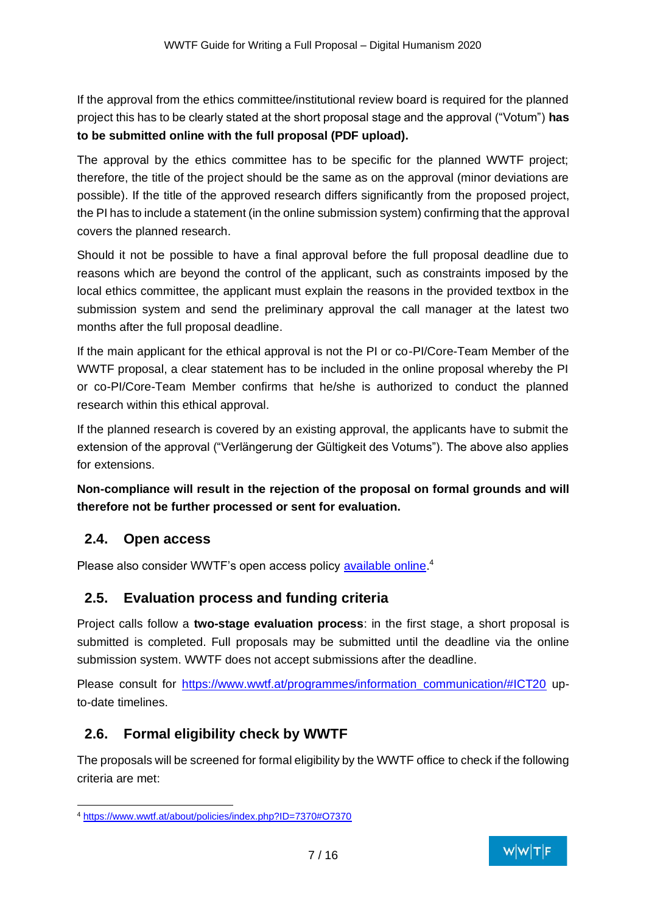If the approval from the ethics committee/institutional review board is required for the planned project this has to be clearly stated at the short proposal stage and the approval ("Votum") **has to be submitted online with the full proposal (PDF upload).**

The approval by the ethics committee has to be specific for the planned WWTF project; therefore, the title of the project should be the same as on the approval (minor deviations are possible). If the title of the approved research differs significantly from the proposed project, the PI has to include a statement (in the online submission system) confirming that the approval covers the planned research.

Should it not be possible to have a final approval before the full proposal deadline due to reasons which are beyond the control of the applicant, such as constraints imposed by the local ethics committee, the applicant must explain the reasons in the provided textbox in the submission system and send the preliminary approval the call manager at the latest two months after the full proposal deadline.

If the main applicant for the ethical approval is not the PI or co-PI/Core-Team Member of the WWTF proposal, a clear statement has to be included in the online proposal whereby the PI or co-PI/Core-Team Member confirms that he/she is authorized to conduct the planned research within this ethical approval.

If the planned research is covered by an existing approval, the applicants have to submit the extension of the approval ("Verlängerung der Gültigkeit des Votums"). The above also applies for extensions.

**Non-compliance will result in the rejection of the proposal on formal grounds and will therefore not be further processed or sent for evaluation.** 

# <span id="page-6-0"></span>**2.4. Open access**

Please also consider WWTF's open access policy [available online.](https://www.wwtf.at/about/policies/index.php?ID=7370#O7370)<sup>4</sup>

# <span id="page-6-1"></span>**2.5. Evaluation process and funding criteria**

Project calls follow a **two-stage evaluation process**: in the first stage, a short proposal is submitted is completed. Full proposals may be submitted until the deadline via the online submission system. WWTF does not accept submissions after the deadline.

Please consult for [https://www.wwtf.at/programmes/information\\_communication/#ICT20](https://www.wwtf.at/programmes/information_communication/#ICT20) upto-date timelines.

# <span id="page-6-2"></span>**2.6. Formal eligibility check by WWTF**

The proposals will be screened for formal eligibility by the WWTF office to check if the following criteria are met:

<sup>4</sup> <https://www.wwtf.at/about/policies/index.php?ID=7370#O7370>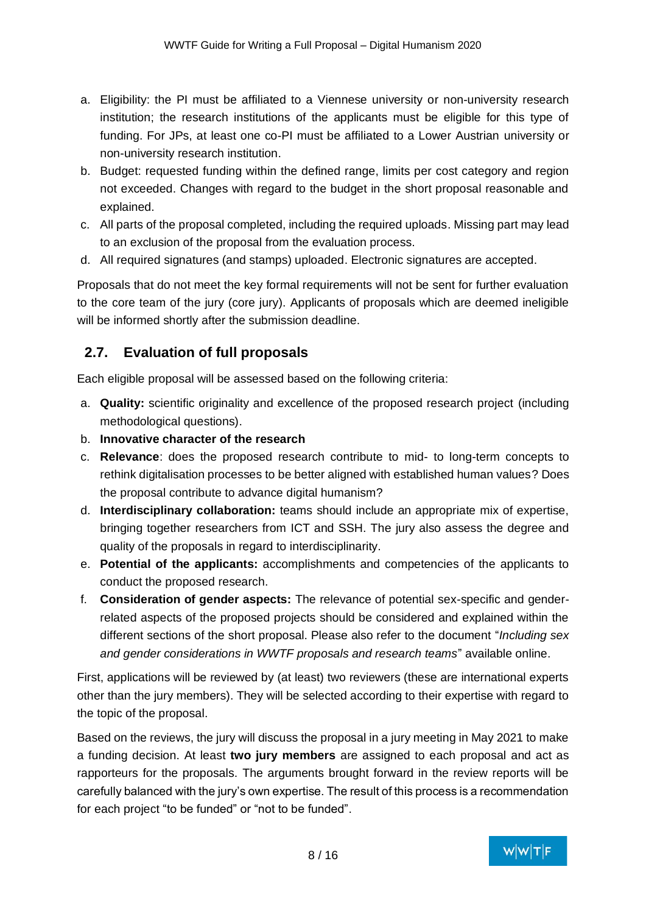- a. Eligibility: the PI must be affiliated to a Viennese university or non-university research institution; the research institutions of the applicants must be eligible for this type of funding. For JPs, at least one co-PI must be affiliated to a Lower Austrian university or non-university research institution.
- b. Budget: requested funding within the defined range, limits per cost category and region not exceeded. Changes with regard to the budget in the short proposal reasonable and explained.
- c. All parts of the proposal completed, including the required uploads. Missing part may lead to an exclusion of the proposal from the evaluation process.
- d. All required signatures (and stamps) uploaded. Electronic signatures are accepted.

Proposals that do not meet the key formal requirements will not be sent for further evaluation to the core team of the jury (core jury). Applicants of proposals which are deemed ineligible will be informed shortly after the submission deadline.

#### <span id="page-7-0"></span>**2.7. Evaluation of full proposals**

Each eligible proposal will be assessed based on the following criteria:

- a. **Quality:** scientific originality and excellence of the proposed research project (including methodological questions).
- b. **Innovative character of the research**
- c. **Relevance**: does the proposed research contribute to mid- to long-term concepts to rethink digitalisation processes to be better aligned with established human values? Does the proposal contribute to advance digital humanism?
- d. **Interdisciplinary collaboration:** teams should include an appropriate mix of expertise, bringing together researchers from ICT and SSH. The jury also assess the degree and quality of the proposals in regard to interdisciplinarity.
- e. **Potential of the applicants:** accomplishments and competencies of the applicants to conduct the proposed research.
- f. **Consideration of gender aspects:** The relevance of potential sex-specific and genderrelated aspects of the proposed projects should be considered and explained within the different sections of the short proposal. Please also refer to the document "*Including sex and gender considerations in WWTF proposals and research teams*" available online.

First, applications will be reviewed by (at least) two reviewers (these are international experts other than the jury members). They will be selected according to their expertise with regard to the topic of the proposal.

Based on the reviews, the jury will discuss the proposal in a jury meeting in May 2021 to make a funding decision. At least **two jury members** are assigned to each proposal and act as rapporteurs for the proposals. The arguments brought forward in the review reports will be carefully balanced with the jury's own expertise. The result of this process is a recommendation for each project "to be funded" or "not to be funded".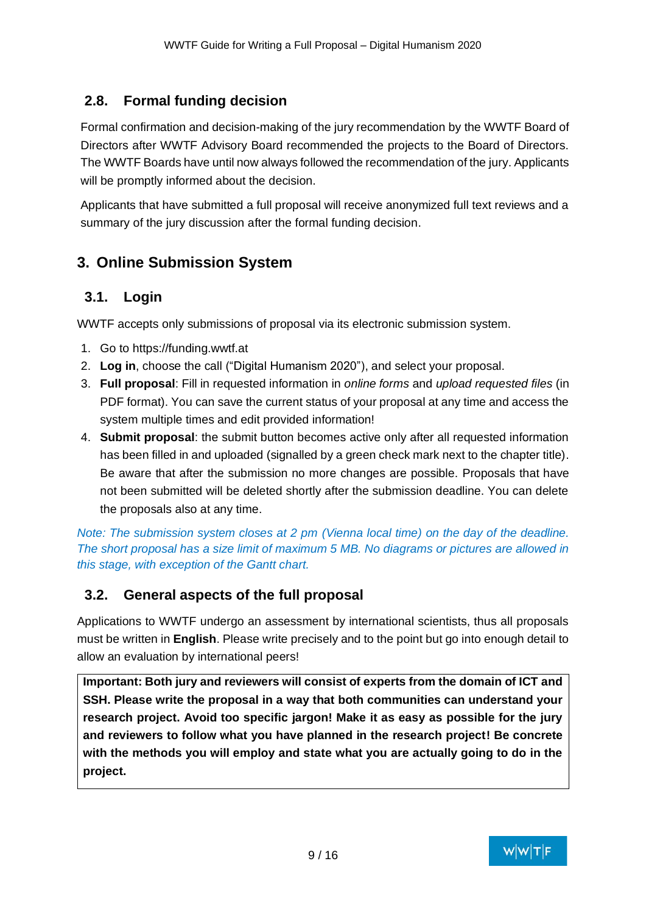## <span id="page-8-0"></span>**2.8. Formal funding decision**

Formal confirmation and decision-making of the jury recommendation by the WWTF Board of Directors after WWTF Advisory Board recommended the projects to the Board of Directors. The WWTF Boards have until now always followed the recommendation of the jury. Applicants will be promptly informed about the decision.

Applicants that have submitted a full proposal will receive anonymized full text reviews and a summary of the jury discussion after the formal funding decision.

# <span id="page-8-1"></span>**3. Online Submission System**

#### <span id="page-8-2"></span>**3.1. Login**

WWTF accepts only submissions of proposal via its electronic submission system.

- 1. Go to https://funding.wwtf.at
- 2. **Log in**, choose the call ("Digital Humanism 2020"), and select your proposal.
- 3. **Full proposal**: Fill in requested information in *online forms* and *upload requested files* (in PDF format). You can save the current status of your proposal at any time and access the system multiple times and edit provided information!
- 4. **Submit proposal**: the submit button becomes active only after all requested information has been filled in and uploaded (signalled by a green check mark next to the chapter title). Be aware that after the submission no more changes are possible. Proposals that have not been submitted will be deleted shortly after the submission deadline. You can delete the proposals also at any time.

*Note: The submission system closes at 2 pm (Vienna local time) on the day of the deadline. The short proposal has a size limit of maximum 5 MB. No diagrams or pictures are allowed in this stage, with exception of the Gantt chart.*

# <span id="page-8-3"></span>**3.2. General aspects of the full proposal**

Applications to WWTF undergo an assessment by international scientists, thus all proposals must be written in **English**. Please write precisely and to the point but go into enough detail to allow an evaluation by international peers!

**Important: Both jury and reviewers will consist of experts from the domain of ICT and SSH. Please write the proposal in a way that both communities can understand your research project. Avoid too specific jargon! Make it as easy as possible for the jury and reviewers to follow what you have planned in the research project! Be concrete with the methods you will employ and state what you are actually going to do in the project.**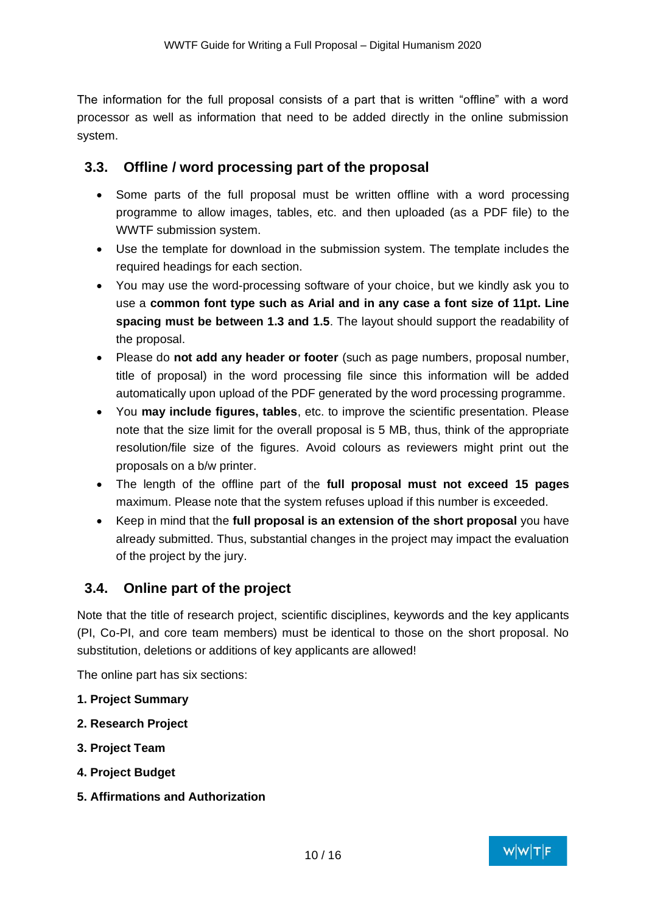The information for the full proposal consists of a part that is written "offline" with a word processor as well as information that need to be added directly in the online submission system.

#### <span id="page-9-0"></span>**3.3. Offline / word processing part of the proposal**

- Some parts of the full proposal must be written offline with a word processing programme to allow images, tables, etc. and then uploaded (as a PDF file) to the WWTF submission system.
- Use the template for download in the submission system. The template includes the required headings for each section.
- You may use the word-processing software of your choice, but we kindly ask you to use a **common font type such as Arial and in any case a font size of 11pt. Line spacing must be between 1.3 and 1.5**. The layout should support the readability of the proposal.
- Please do **not add any header or footer** (such as page numbers, proposal number, title of proposal) in the word processing file since this information will be added automatically upon upload of the PDF generated by the word processing programme.
- You **may include figures, tables**, etc. to improve the scientific presentation. Please note that the size limit for the overall proposal is 5 MB, thus, think of the appropriate resolution/file size of the figures. Avoid colours as reviewers might print out the proposals on a b/w printer.
- The length of the offline part of the **full proposal must not exceed 15 pages** maximum. Please note that the system refuses upload if this number is exceeded.
- Keep in mind that the **full proposal is an extension of the short proposal** you have already submitted. Thus, substantial changes in the project may impact the evaluation of the project by the jury.

# <span id="page-9-1"></span>**3.4. Online part of the project**

Note that the title of research project, scientific disciplines, keywords and the key applicants (PI, Co-PI, and core team members) must be identical to those on the short proposal. No substitution, deletions or additions of key applicants are allowed!

The online part has six sections:

- **1. Project Summary**
- **2. Research Project**
- **3. Project Team**
- **4. Project Budget**
- **5. Affirmations and Authorization**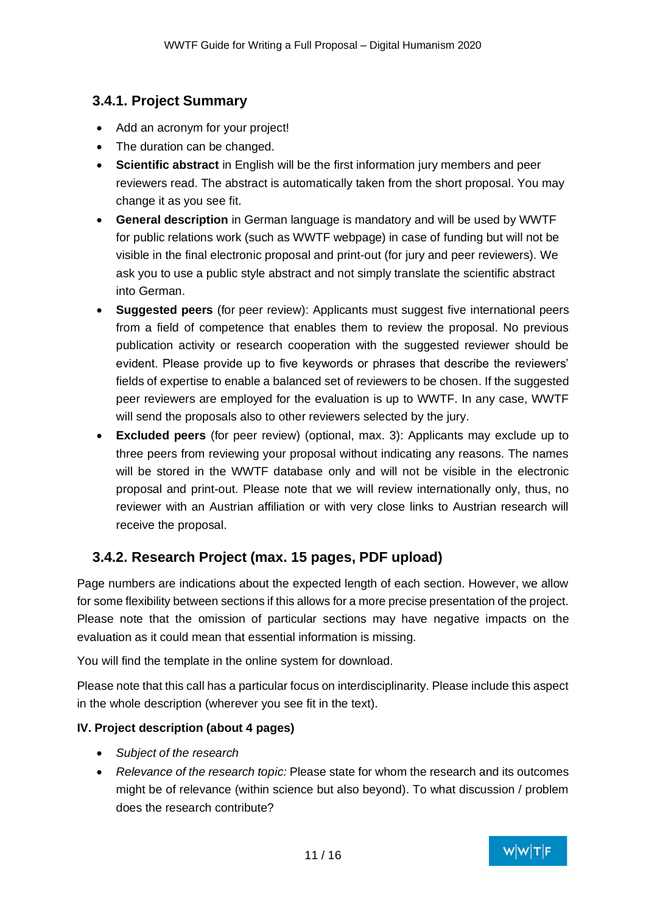#### <span id="page-10-0"></span>**3.4.1. Project Summary**

- Add an acronym for your project!
- The duration can be changed.
- **Scientific abstract** in English will be the first information jury members and peer reviewers read. The abstract is automatically taken from the short proposal. You may change it as you see fit.
- **General description** in German language is mandatory and will be used by WWTF for public relations work (such as WWTF webpage) in case of funding but will not be visible in the final electronic proposal and print-out (for jury and peer reviewers). We ask you to use a public style abstract and not simply translate the scientific abstract into German.
- **Suggested peers** (for peer review): Applicants must suggest five international peers from a field of competence that enables them to review the proposal. No previous publication activity or research cooperation with the suggested reviewer should be evident. Please provide up to five keywords or phrases that describe the reviewers' fields of expertise to enable a balanced set of reviewers to be chosen. If the suggested peer reviewers are employed for the evaluation is up to WWTF. In any case, WWTF will send the proposals also to other reviewers selected by the jury.
- **Excluded peers** (for peer review) (optional, max. 3): Applicants may exclude up to three peers from reviewing your proposal without indicating any reasons. The names will be stored in the WWTF database only and will not be visible in the electronic proposal and print-out. Please note that we will review internationally only, thus, no reviewer with an Austrian affiliation or with very close links to Austrian research will receive the proposal.

#### <span id="page-10-1"></span>**3.4.2. Research Project (max. 15 pages, PDF upload)**

Page numbers are indications about the expected length of each section. However, we allow for some flexibility between sections if this allows for a more precise presentation of the project. Please note that the omission of particular sections may have negative impacts on the evaluation as it could mean that essential information is missing.

You will find the template in the online system for download.

Please note that this call has a particular focus on interdisciplinarity. Please include this aspect in the whole description (wherever you see fit in the text).

#### **IV. Project description (about 4 pages)**

- *Subject of the research*
- *Relevance of the research topic:* Please state for whom the research and its outcomes might be of relevance (within science but also beyond). To what discussion / problem does the research contribute?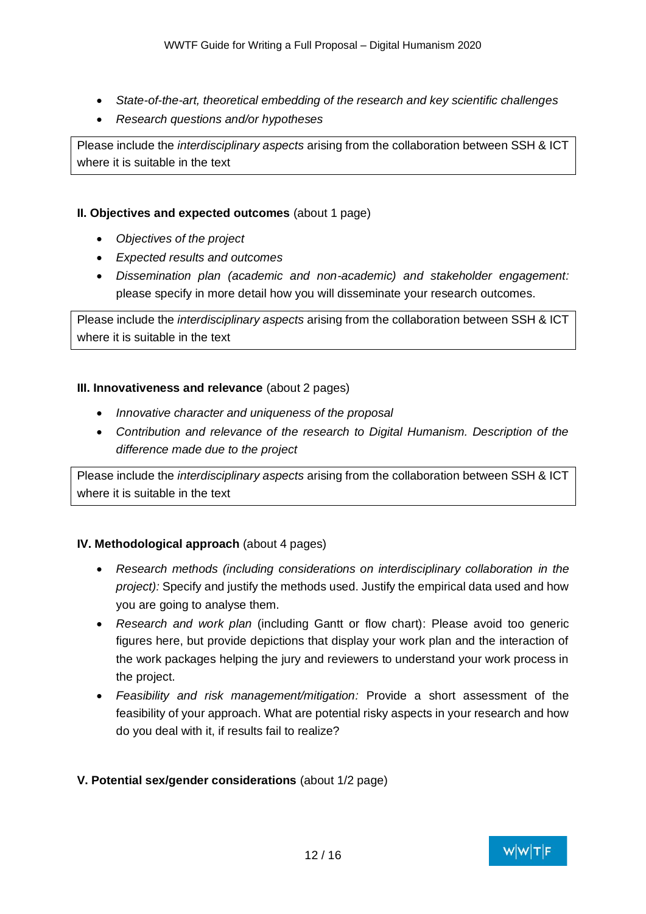- *State-of-the-art, theoretical embedding of the research and key scientific challenges*
- *Research questions and/or hypotheses*

Please include the *interdisciplinary aspects* arising from the collaboration between SSH & ICT where it is suitable in the text

#### **II. Objectives and expected outcomes** (about 1 page)

- *Objectives of the project*
- *Expected results and outcomes*
- *Dissemination plan (academic and non-academic) and stakeholder engagement:* please specify in more detail how you will disseminate your research outcomes.

Please include the *interdisciplinary aspects* arising from the collaboration between SSH & ICT where it is suitable in the text

#### **III. Innovativeness and relevance** (about 2 pages)

- *Innovative character and uniqueness of the proposal*
- *Contribution and relevance of the research to Digital Humanism. Description of the difference made due to the project*

Please include the *interdisciplinary aspects* arising from the collaboration between SSH & ICT where it is suitable in the text

#### **IV. Methodological approach** (about 4 pages)

- *Research methods (including considerations on interdisciplinary collaboration in the project):* Specify and justify the methods used. Justify the empirical data used and how you are going to analyse them.
- *Research and work plan* (including Gantt or flow chart): Please avoid too generic figures here, but provide depictions that display your work plan and the interaction of the work packages helping the jury and reviewers to understand your work process in the project.
- *Feasibility and risk management/mitigation:* Provide a short assessment of the feasibility of your approach. What are potential risky aspects in your research and how do you deal with it, if results fail to realize?

#### **V. Potential sex/gender considerations** (about 1/2 page)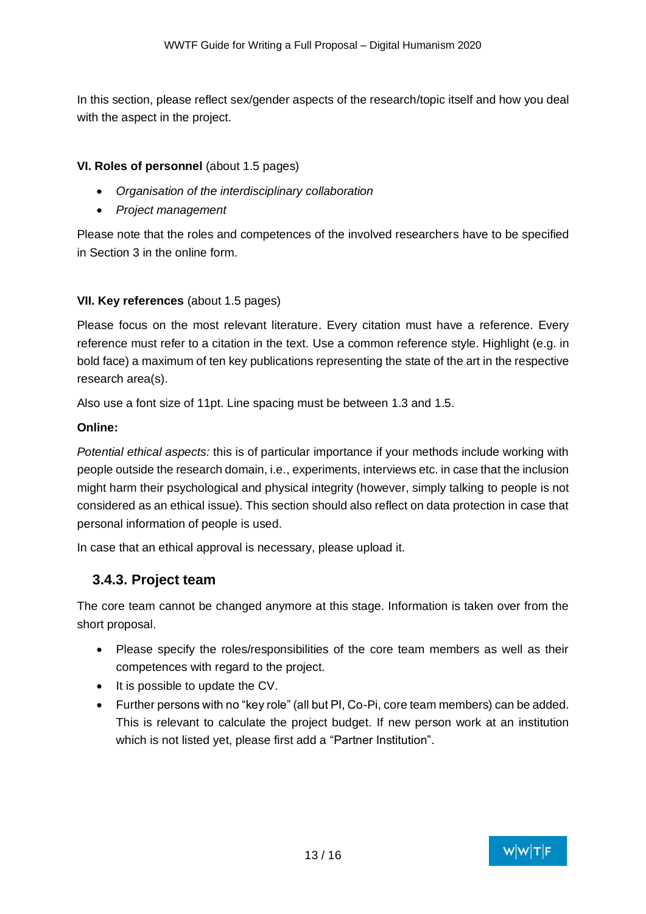In this section, please reflect sex/gender aspects of the research/topic itself and how you deal with the aspect in the project.

#### **VI. Roles of personnel (about 1.5 pages)**

- *Organisation of the interdisciplinary collaboration*
- *Project management*

Please note that the roles and competences of the involved researchers have to be specified in Section 3 in the online form.

#### **VII. Key references** (about 1.5 pages)

Please focus on the most relevant literature. Every citation must have a reference. Every reference must refer to a citation in the text. Use a common reference style. Highlight (e.g. in bold face) a maximum of ten key publications representing the state of the art in the respective research area(s).

Also use a font size of 11pt. Line spacing must be between 1.3 and 1.5.

#### **Online:**

*Potential ethical aspects:* this is of particular importance if your methods include working with people outside the research domain, i.e., experiments, interviews etc. in case that the inclusion might harm their psychological and physical integrity (however, simply talking to people is not considered as an ethical issue). This section should also reflect on data protection in case that personal information of people is used.

In case that an ethical approval is necessary, please upload it.

#### <span id="page-12-0"></span>**3.4.3. Project team**

The core team cannot be changed anymore at this stage. Information is taken over from the short proposal.

- Please specify the roles/responsibilities of the core team members as well as their competences with regard to the project.
- It is possible to update the CV.
- Further persons with no "key role" (all but PI, Co-Pi, core team members) can be added. This is relevant to calculate the project budget. If new person work at an institution which is not listed yet, please first add a "Partner Institution".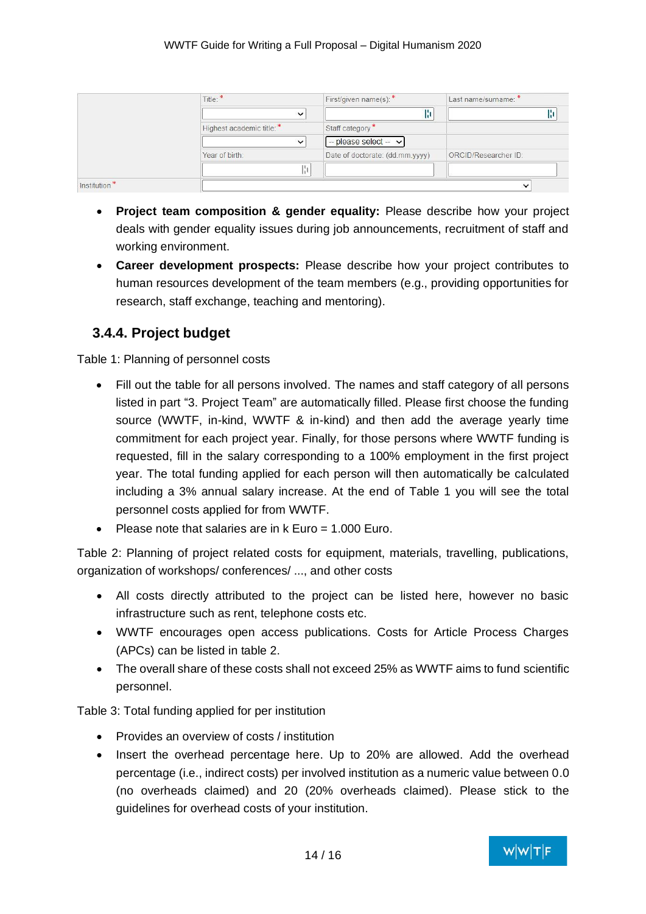|                          | Title: *                  | First/given name(s): *          | Last name/surname: * |  |
|--------------------------|---------------------------|---------------------------------|----------------------|--|
|                          | $\checkmark$              |                                 |                      |  |
|                          | Highest academic title: * | Staff category*                 |                      |  |
|                          | $\checkmark$              | $-$ please select $ \vee$       |                      |  |
|                          | Year of birth:            | Date of doctorate: (dd.mm.yyyy) | ORCID/Researcher ID: |  |
|                          | l١                        |                                 |                      |  |
| Institution <sup>*</sup> |                           | v                               |                      |  |

- **Project team composition & gender equality:** Please describe how your project deals with gender equality issues during job announcements, recruitment of staff and working environment.
- **Career development prospects:** Please describe how your project contributes to human resources development of the team members (e.g., providing opportunities for research, staff exchange, teaching and mentoring).

#### <span id="page-13-0"></span>**3.4.4. Project budget**

Table 1: Planning of personnel costs

- Fill out the table for all persons involved. The names and staff category of all persons listed in part "3. Project Team" are automatically filled. Please first choose the funding source (WWTF, in-kind, WWTF & in-kind) and then add the average yearly time commitment for each project year. Finally, for those persons where WWTF funding is requested, fill in the salary corresponding to a 100% employment in the first project year. The total funding applied for each person will then automatically be calculated including a 3% annual salary increase. At the end of Table 1 you will see the total personnel costs applied for from WWTF.
- Please note that salaries are in k Euro = 1.000 Euro.

Table 2: Planning of project related costs for equipment, materials, travelling, publications, organization of workshops/ conferences/ ..., and other costs

- All costs directly attributed to the project can be listed here, however no basic infrastructure such as rent, telephone costs etc.
- WWTF encourages open access publications. Costs for Article Process Charges (APCs) can be listed in table 2.
- The overall share of these costs shall not exceed 25% as WWTF aims to fund scientific personnel.

Table 3: Total funding applied for per institution

- Provides an overview of costs / institution
- Insert the overhead percentage here. Up to 20% are allowed. Add the overhead percentage (i.e., indirect costs) per involved institution as a numeric value between 0.0 (no overheads claimed) and 20 (20% overheads claimed). Please stick to the guidelines for overhead costs of your institution.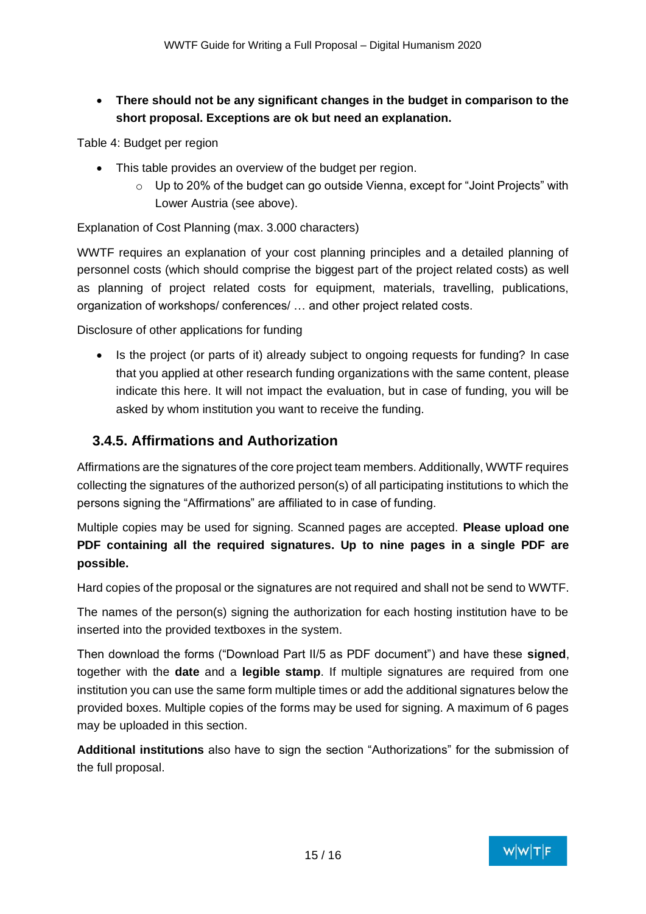#### • **There should not be any significant changes in the budget in comparison to the short proposal. Exceptions are ok but need an explanation.**

Table 4: Budget per region

- This table provides an overview of the budget per region.
	- $\circ$  Up to 20% of the budget can go outside Vienna, except for "Joint Projects" with Lower Austria (see above).

#### Explanation of Cost Planning (max. 3.000 characters)

WWTF requires an explanation of your cost planning principles and a detailed planning of personnel costs (which should comprise the biggest part of the project related costs) as well as planning of project related costs for equipment, materials, travelling, publications, organization of workshops/ conferences/ … and other project related costs.

Disclosure of other applications for funding

• Is the project (or parts of it) already subject to ongoing requests for funding? In case that you applied at other research funding organizations with the same content, please indicate this here. It will not impact the evaluation, but in case of funding, you will be asked by whom institution you want to receive the funding.

#### <span id="page-14-0"></span>**3.4.5. Affirmations and Authorization**

Affirmations are the signatures of the core project team members. Additionally, WWTF requires collecting the signatures of the authorized person(s) of all participating institutions to which the persons signing the "Affirmations" are affiliated to in case of funding.

Multiple copies may be used for signing. Scanned pages are accepted. **Please upload one PDF containing all the required signatures. Up to nine pages in a single PDF are possible.** 

Hard copies of the proposal or the signatures are not required and shall not be send to WWTF.

The names of the person(s) signing the authorization for each hosting institution have to be inserted into the provided textboxes in the system.

Then download the forms ("Download Part II/5 as PDF document") and have these **signed**, together with the **date** and a **legible stamp**. If multiple signatures are required from one institution you can use the same form multiple times or add the additional signatures below the provided boxes. Multiple copies of the forms may be used for signing. A maximum of 6 pages may be uploaded in this section.

**Additional institutions** also have to sign the section "Authorizations" for the submission of the full proposal.